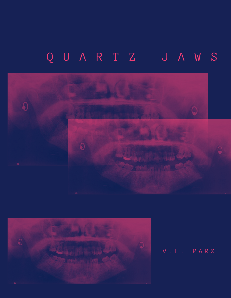## Q U A R T Z J A W S





V . L . P A R Z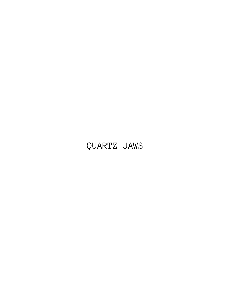## QUARTZ JAWS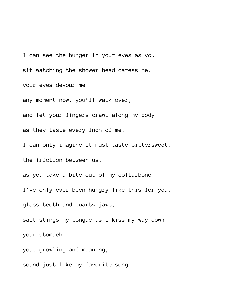I can see the hunger in your eyes as you sit watching the shower head caress me. your eyes devour me.

any moment now, you'll walk over,

and let your fingers crawl along my body

as they taste every inch of me.

I can only imagine it must taste bittersweet,

the friction between us,

as you take a bite out of my collarbone.

I've only ever been hungry like this for you.

glass teeth and quartz jaws,

salt stings my tongue as I kiss my way down your stomach.

you, growling and moaning,

sound just like my favorite song.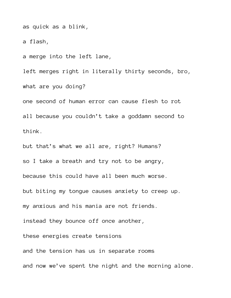as quick as a blink,

a flash,

a merge into the left lane,

left merges right in literally thirty seconds, bro, what are you doing?

one second of human error can cause flesh to rot all because you couldn't take a goddamn second to think.

but that's what we all are, right? Humans? so I take a breath and try not to be angry, because this could have all been much worse. but biting my tongue causes anxiety to creep up. my anxious and his mania are not friends. instead they bounce off once another, these energies create tensions and the tension has us in separate rooms and now we've spent the night and the morning alone.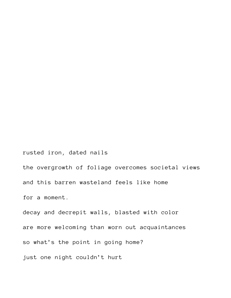rusted iron, dated nails the overgrowth of foliage overcomes societal views and this barren wasteland feels like home for a moment. decay and decrepit walls, blasted with color are more welcoming than worn out acquaintances so what's the point in going home? just one night couldn't hurt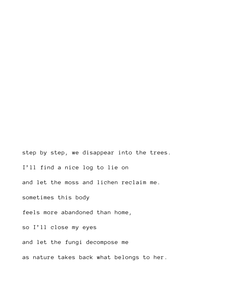step by step, we disappear into the trees. I'll find a nice log to lie on and let the moss and lichen reclaim me. sometimes this body feels more abandoned than home, so I'll close my eyes and let the fungi decompose me as nature takes back what belongs to her.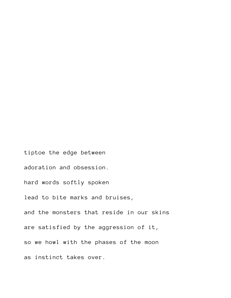tiptoe the edge between adoration and obsession. hard words softly spoken lead to bite marks and bruises, and the monsters that reside in our skins are satisfied by the aggression of it, so we howl with the phases of the moon as instinct takes over.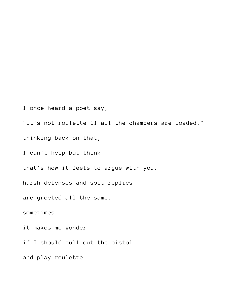I once heard a poet say,

"it's not roulette if all the chambers are loaded."

thinking back on that,

I can't help but think

that's how it feels to argue with you.

harsh defenses and soft replies

are greeted all the same.

sometimes

it makes me wonder

if I should pull out the pistol

and play roulette.